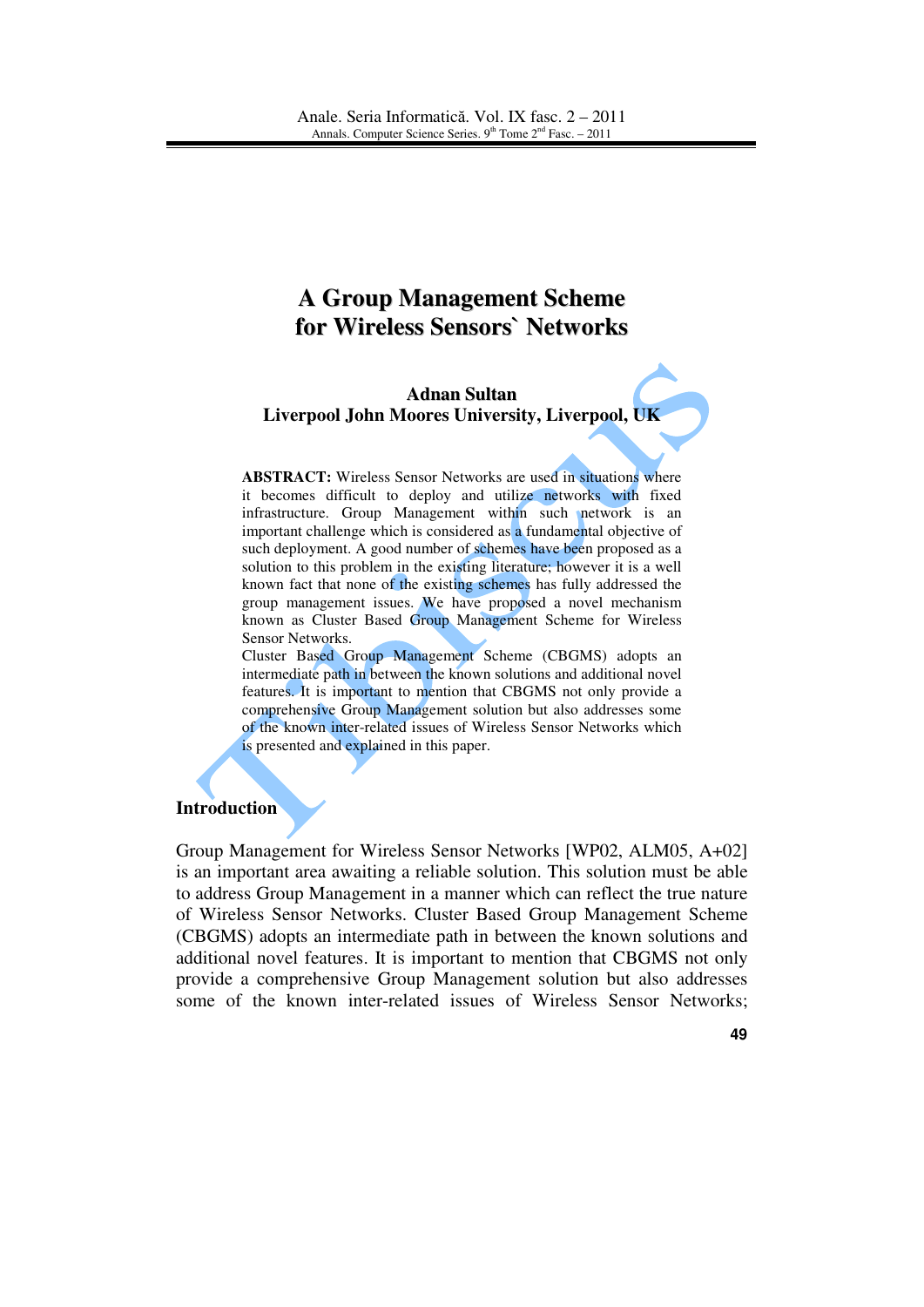# **A Group Management Scheme for Wireless Sensors` Networks**

#### **Adnan Sultan Liverpool John Moores University, Liverpool, UK**

**ABSTRACT:** Wireless Sensor Networks are used in situations where it becomes difficult to deploy and utilize networks with fixed infrastructure. Group Management within such network is an important challenge which is considered as a fundamental objective of such deployment. A good number of schemes have been proposed as a solution to this problem in the existing literature; however it is a well known fact that none of the existing schemes has fully addressed the group management issues. We have proposed a novel mechanism known as Cluster Based Group Management Scheme for Wireless Sensor Networks.

Cluster Based Group Management Scheme (CBGMS) adopts an intermediate path in between the known solutions and additional novel features. It is important to mention that CBGMS not only provide a comprehensive Group Management solution but also addresses some of the known inter-related issues of Wireless Sensor Networks which is presented and explained in this paper.

### **Introduction**

Group Management for Wireless Sensor Networks [WP02, ALM05, A+02] is an important area awaiting a reliable solution. This solution must be able to address Group Management in a manner which can reflect the true nature of Wireless Sensor Networks. Cluster Based Group Management Scheme (CBGMS) adopts an intermediate path in between the known solutions and additional novel features. It is important to mention that CBGMS not only provide a comprehensive Group Management solution but also addresses some of the known inter-related issues of Wireless Sensor Networks;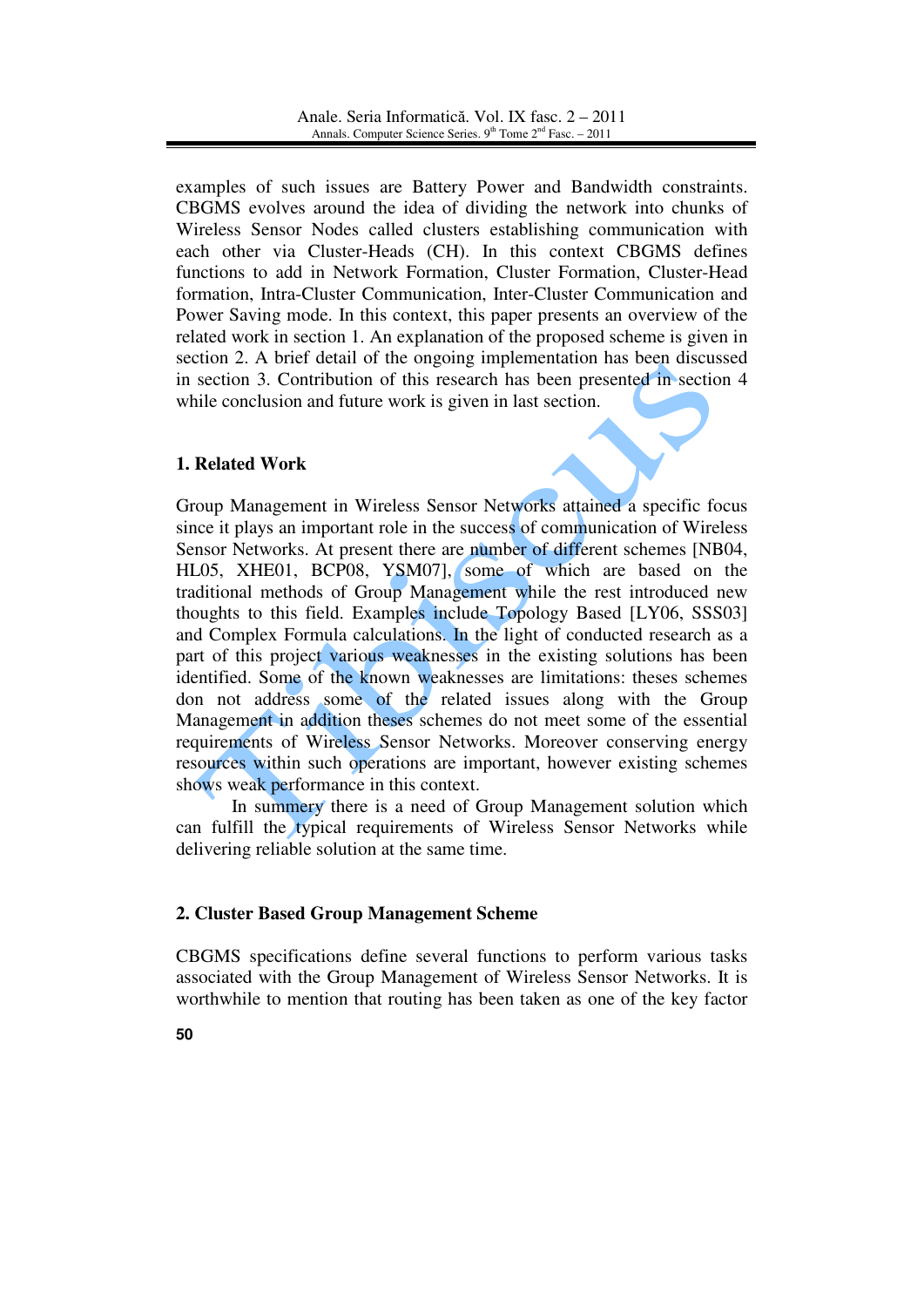examples of such issues are Battery Power and Bandwidth constraints. CBGMS evolves around the idea of dividing the network into chunks of Wireless Sensor Nodes called clusters establishing communication with each other via Cluster-Heads (CH). In this context CBGMS defines functions to add in Network Formation, Cluster Formation, Cluster-Head formation, Intra-Cluster Communication, Inter-Cluster Communication and Power Saving mode. In this context, this paper presents an overview of the related work in section 1. An explanation of the proposed scheme is given in section 2. A brief detail of the ongoing implementation has been discussed in section 3. Contribution of this research has been presented in section 4 while conclusion and future work is given in last section.

# **1. Related Work**

Group Management in Wireless Sensor Networks attained a specific focus since it plays an important role in the success of communication of Wireless Sensor Networks. At present there are number of different schemes [NB04, HL05, XHE01, BCP08, YSM07], some of which are based on the traditional methods of Group Management while the rest introduced new thoughts to this field. Examples include Topology Based [LY06, SSS03] and Complex Formula calculations. In the light of conducted research as a part of this project various weaknesses in the existing solutions has been identified. Some of the known weaknesses are limitations: theses schemes don not address some of the related issues along with the Group Management in addition theses schemes do not meet some of the essential requirements of Wireless Sensor Networks. Moreover conserving energy resources within such operations are important, however existing schemes shows weak performance in this context.

In summery there is a need of Group Management solution which can fulfill the typical requirements of Wireless Sensor Networks while delivering reliable solution at the same time.

# **2. Cluster Based Group Management Scheme**

CBGMS specifications define several functions to perform various tasks associated with the Group Management of Wireless Sensor Networks. It is worthwhile to mention that routing has been taken as one of the key factor

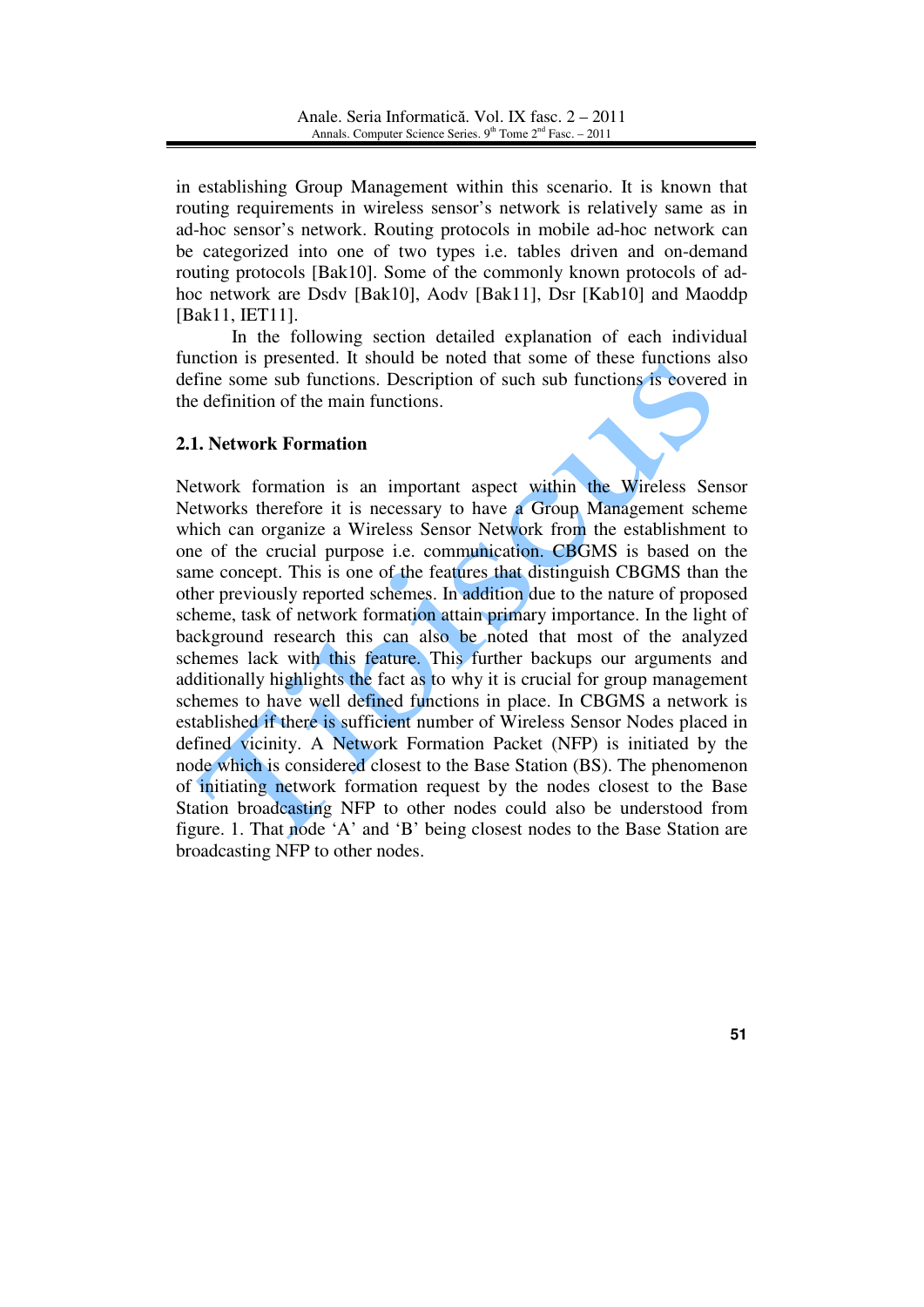in establishing Group Management within this scenario. It is known that routing requirements in wireless sensor's network is relatively same as in ad-hoc sensor's network. Routing protocols in mobile ad-hoc network can be categorized into one of two types i.e. tables driven and on-demand routing protocols [Bak10]. Some of the commonly known protocols of adhoc network are Dsdv [Bak10], Aodv [Bak11], Dsr [Kab10] and Maoddp [Bak11, IET11].

In the following section detailed explanation of each individual function is presented. It should be noted that some of these functions also define some sub functions. Description of such sub functions is covered in the definition of the main functions.

# **2.1. Network Formation**

Network formation is an important aspect within the Wireless Sensor Networks therefore it is necessary to have a Group Management scheme which can organize a Wireless Sensor Network from the establishment to one of the crucial purpose i.e. communication. CBGMS is based on the same concept. This is one of the features that distinguish CBGMS than the other previously reported schemes. In addition due to the nature of proposed scheme, task of network formation attain primary importance. In the light of background research this can also be noted that most of the analyzed schemes lack with this feature. This further backups our arguments and additionally highlights the fact as to why it is crucial for group management schemes to have well defined functions in place. In CBGMS a network is established if there is sufficient number of Wireless Sensor Nodes placed in defined vicinity. A Network Formation Packet (NFP) is initiated by the node which is considered closest to the Base Station (BS). The phenomenon of initiating network formation request by the nodes closest to the Base Station broadcasting NFP to other nodes could also be understood from figure. 1. That node 'A' and 'B' being closest nodes to the Base Station are broadcasting NFP to other nodes.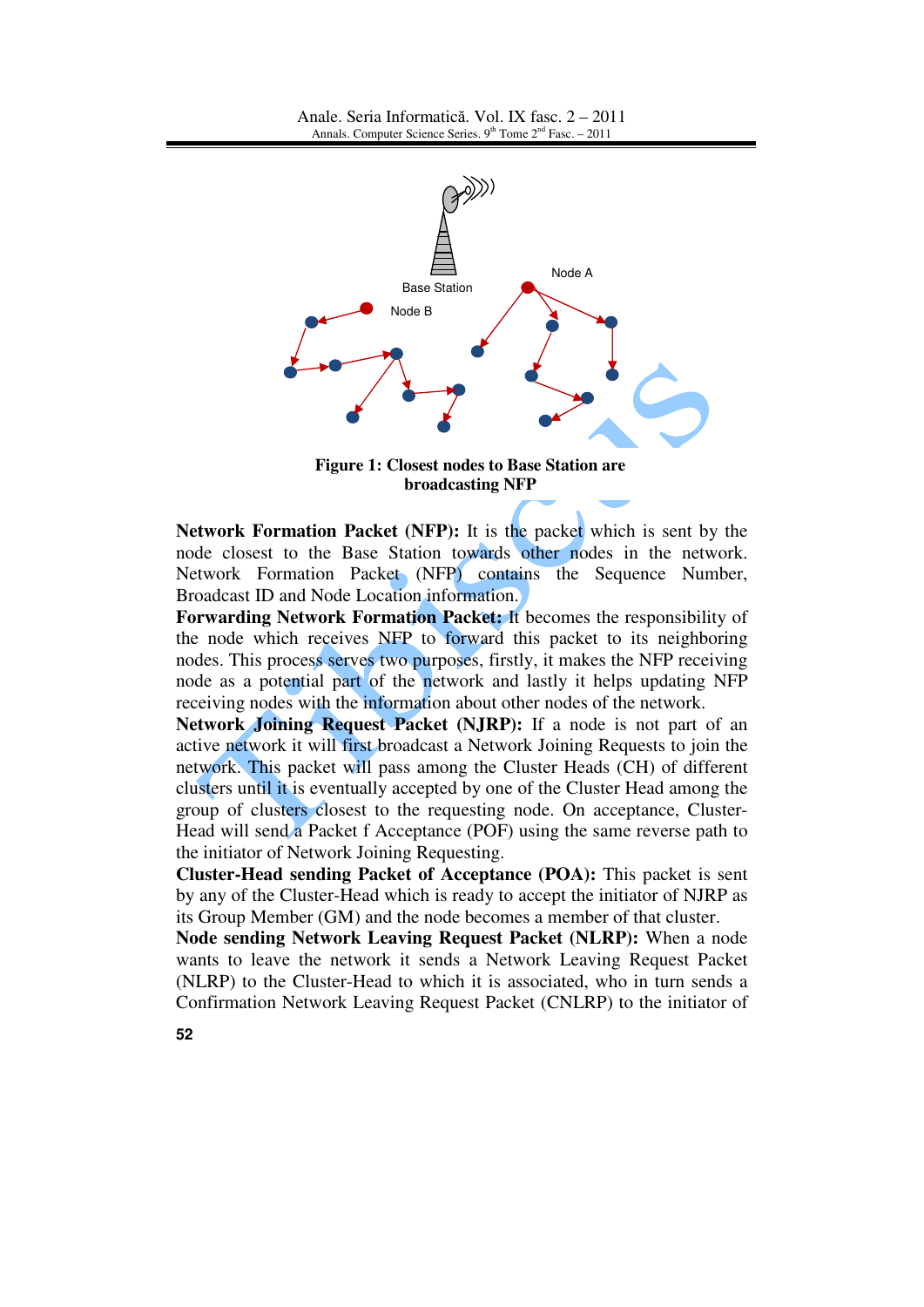

**Figure 1: Closest nodes to Base Station are broadcasting NFP**

**Network Formation Packet (NFP):** It is the packet which is sent by the node closest to the Base Station towards other nodes in the network. Network Formation Packet (NFP) contains the Sequence Number, Broadcast ID and Node Location information.

**Forwarding Network Formation Packet:** It becomes the responsibility of the node which receives NFP to forward this packet to its neighboring nodes. This process serves two purposes, firstly, it makes the NFP receiving node as a potential part of the network and lastly it helps updating NFP receiving nodes with the information about other nodes of the network.

**Network Joining Request Packet (NJRP):** If a node is not part of an active network it will first broadcast a Network Joining Requests to join the network. This packet will pass among the Cluster Heads (CH) of different clusters until it is eventually accepted by one of the Cluster Head among the group of clusters closest to the requesting node. On acceptance, Cluster-Head will send a Packet f Acceptance (POF) using the same reverse path to the initiator of Network Joining Requesting.

**Cluster-Head sending Packet of Acceptance (POA):** This packet is sent by any of the Cluster-Head which is ready to accept the initiator of NJRP as its Group Member (GM) and the node becomes a member of that cluster.

**Node sending Network Leaving Request Packet (NLRP):** When a node wants to leave the network it sends a Network Leaving Request Packet (NLRP) to the Cluster-Head to which it is associated, who in turn sends a Confirmation Network Leaving Request Packet (CNLRP) to the initiator of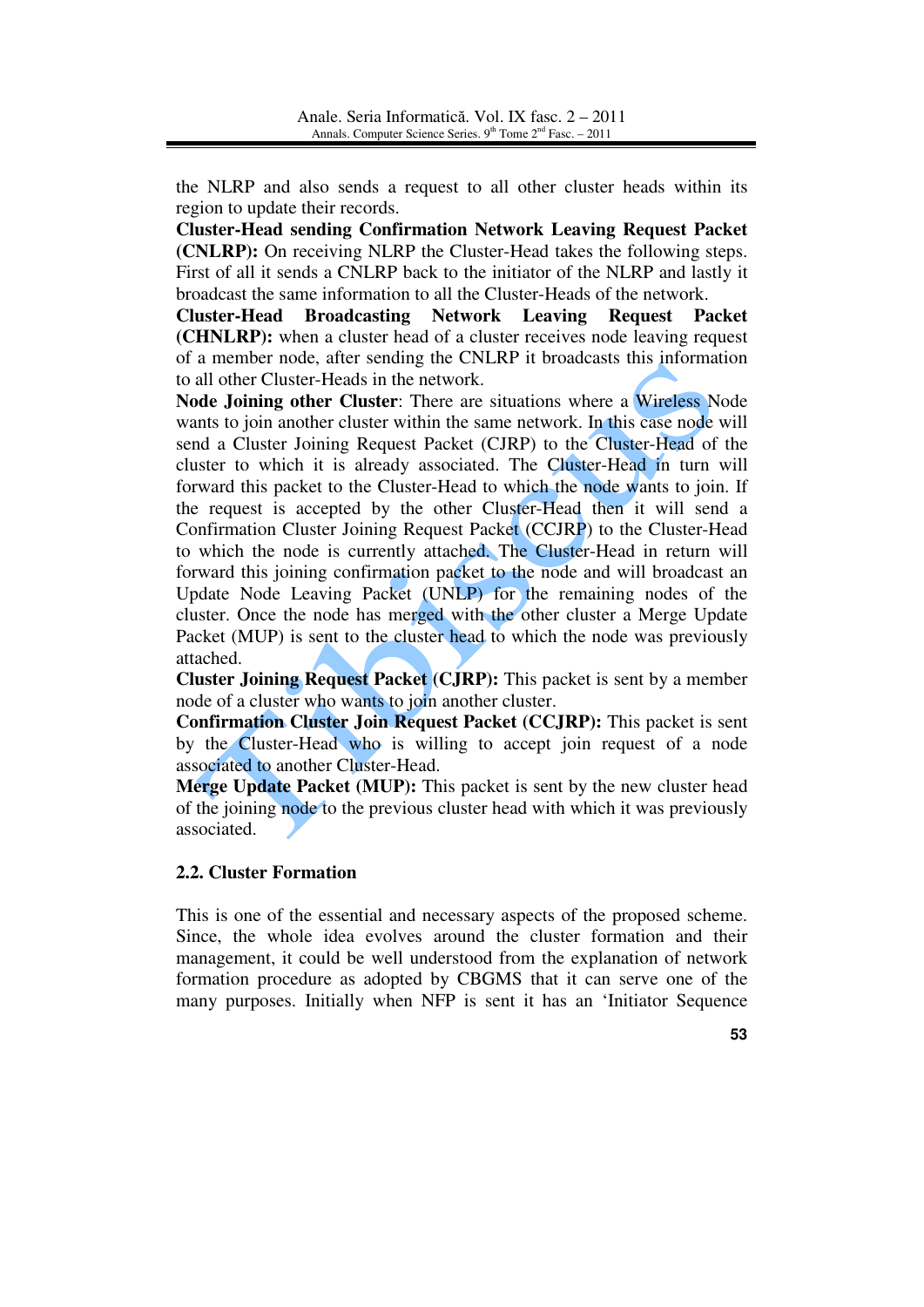the NLRP and also sends a request to all other cluster heads within its region to update their records.

**Cluster-Head sending Confirmation Network Leaving Request Packet (CNLRP):** On receiving NLRP the Cluster-Head takes the following steps. First of all it sends a CNLRP back to the initiator of the NLRP and lastly it broadcast the same information to all the Cluster-Heads of the network.

**Cluster-Head Broadcasting Network Leaving Request Packet (CHNLRP):** when a cluster head of a cluster receives node leaving request of a member node, after sending the CNLRP it broadcasts this information to all other Cluster-Heads in the network.

**Node Joining other Cluster**: There are situations where a Wireless Node wants to join another cluster within the same network. In this case node will send a Cluster Joining Request Packet (CJRP) to the Cluster-Head of the cluster to which it is already associated. The Cluster-Head in turn will forward this packet to the Cluster-Head to which the node wants to join. If the request is accepted by the other Cluster-Head then it will send a Confirmation Cluster Joining Request Packet (CCJRP) to the Cluster-Head to which the node is currently attached. The Cluster-Head in return will forward this joining confirmation packet to the node and will broadcast an Update Node Leaving Packet (UNLP) for the remaining nodes of the cluster. Once the node has merged with the other cluster a Merge Update Packet (MUP) is sent to the cluster head to which the node was previously attached.

**Cluster Joining Request Packet (CJRP):** This packet is sent by a member node of a cluster who wants to join another cluster.

**Confirmation Cluster Join Request Packet (CCJRP):** This packet is sent by the Cluster-Head who is willing to accept join request of a node associated to another Cluster-Head.

**Merge Update Packet (MUP):** This packet is sent by the new cluster head of the joining node to the previous cluster head with which it was previously associated.

### **2.2. Cluster Formation**

This is one of the essential and necessary aspects of the proposed scheme. Since, the whole idea evolves around the cluster formation and their management, it could be well understood from the explanation of network formation procedure as adopted by CBGMS that it can serve one of the many purposes. Initially when NFP is sent it has an 'Initiator Sequence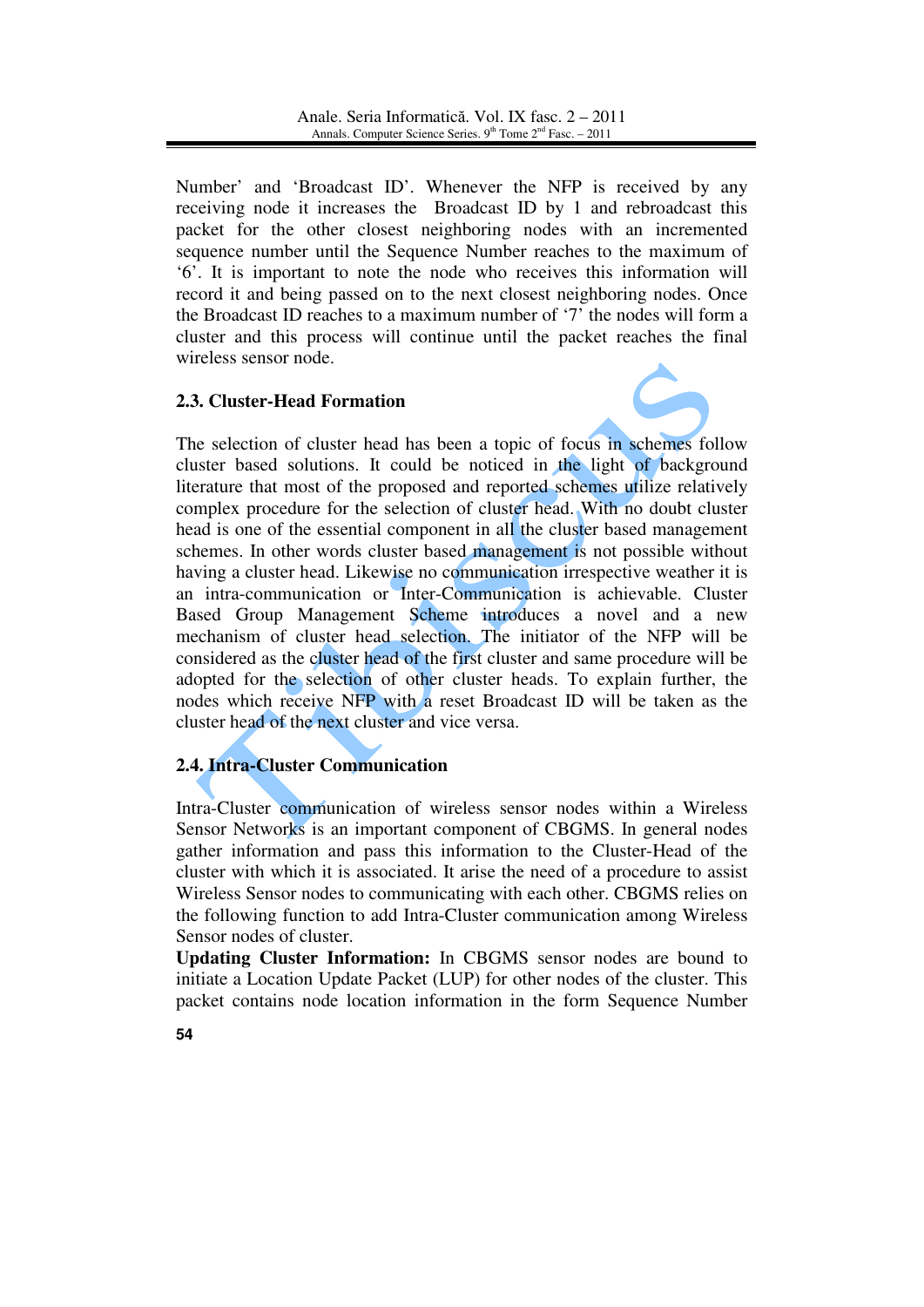Number' and 'Broadcast ID'. Whenever the NFP is received by any receiving node it increases the Broadcast ID by 1 and rebroadcast this packet for the other closest neighboring nodes with an incremented sequence number until the Sequence Number reaches to the maximum of '6'. It is important to note the node who receives this information will record it and being passed on to the next closest neighboring nodes. Once the Broadcast ID reaches to a maximum number of '7' the nodes will form a cluster and this process will continue until the packet reaches the final wireless sensor node.

# **2.3. Cluster-Head Formation**



The selection of cluster head has been a topic of focus in schemes follow cluster based solutions. It could be noticed in the light of background literature that most of the proposed and reported schemes utilize relatively complex procedure for the selection of cluster head. With no doubt cluster head is one of the essential component in all the cluster based management schemes. In other words cluster based management is not possible without having a cluster head. Likewise no communication irrespective weather it is an intra-communication or Inter-Communication is achievable. Cluster Based Group Management Scheme introduces a novel and a new mechanism of cluster head selection. The initiator of the NFP will be considered as the cluster head of the first cluster and same procedure will be adopted for the selection of other cluster heads. To explain further, the nodes which receive NFP with a reset Broadcast ID will be taken as the cluster head of the next cluster and vice versa.

# **2.4. Intra-Cluster Communication**

Intra-Cluster communication of wireless sensor nodes within a Wireless Sensor Networks is an important component of CBGMS. In general nodes gather information and pass this information to the Cluster-Head of the cluster with which it is associated. It arise the need of a procedure to assist Wireless Sensor nodes to communicating with each other. CBGMS relies on the following function to add Intra-Cluster communication among Wireless Sensor nodes of cluster.

**Updating Cluster Information:** In CBGMS sensor nodes are bound to initiate a Location Update Packet (LUP) for other nodes of the cluster. This packet contains node location information in the form Sequence Number

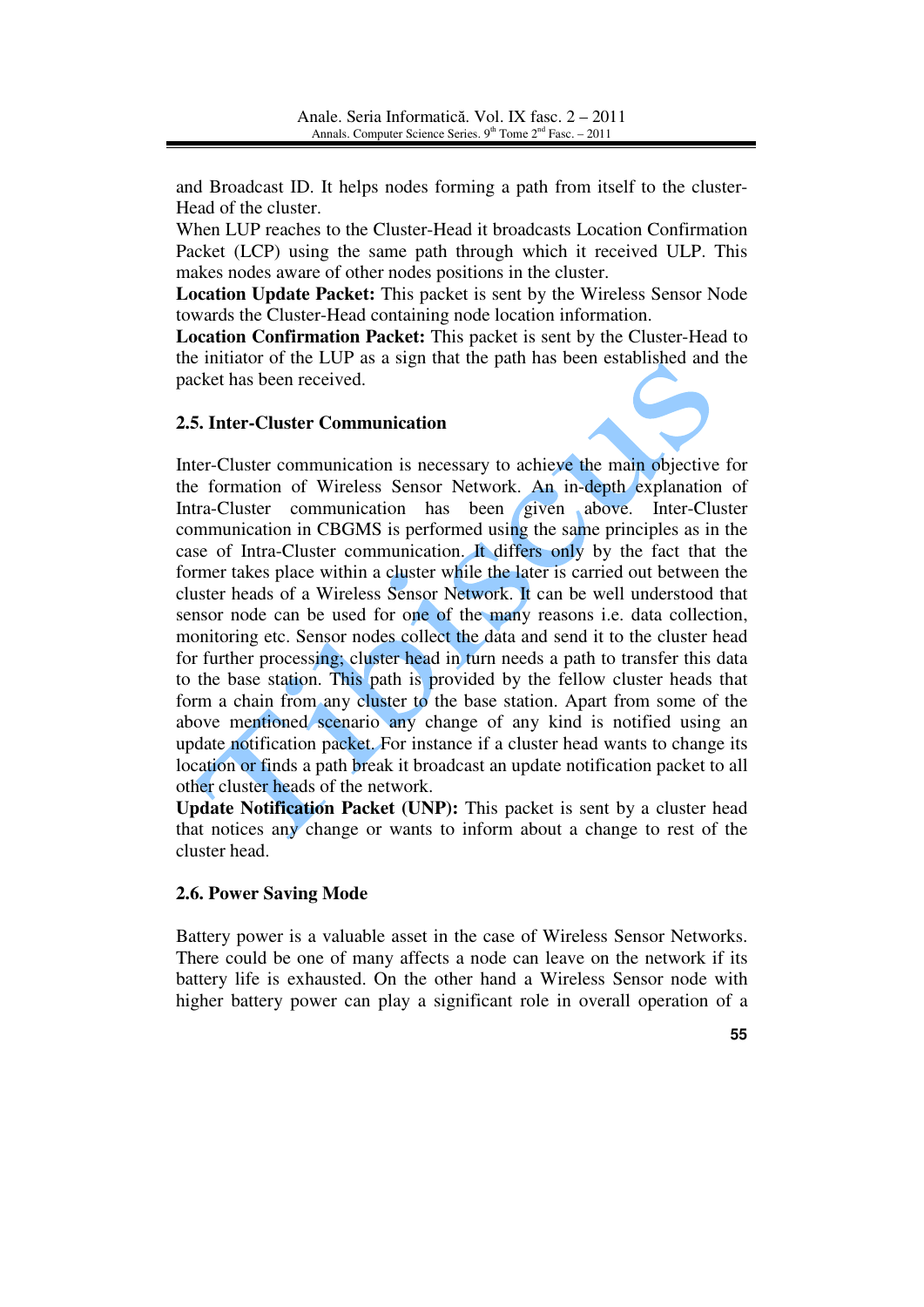and Broadcast ID. It helps nodes forming a path from itself to the cluster-Head of the cluster.

When LUP reaches to the Cluster-Head it broadcasts Location Confirmation Packet (LCP) using the same path through which it received ULP. This makes nodes aware of other nodes positions in the cluster.

**Location Update Packet:** This packet is sent by the Wireless Sensor Node towards the Cluster-Head containing node location information.

**Location Confirmation Packet:** This packet is sent by the Cluster-Head to the initiator of the LUP as a sign that the path has been established and the packet has been received.

### **2.5. Inter-Cluster Communication**

Inter-Cluster communication is necessary to achieve the main objective for the formation of Wireless Sensor Network. An in-depth explanation of Intra-Cluster communication has been given above. Inter-Cluster communication in CBGMS is performed using the same principles as in the case of Intra-Cluster communication. It differs only by the fact that the former takes place within a cluster while the later is carried out between the cluster heads of a Wireless Sensor Network. It can be well understood that sensor node can be used for one of the many reasons i.e. data collection, monitoring etc. Sensor nodes collect the data and send it to the cluster head for further processing; cluster head in turn needs a path to transfer this data to the base station. This path is provided by the fellow cluster heads that form a chain from any cluster to the base station. Apart from some of the above mentioned scenario any change of any kind is notified using an update notification packet. For instance if a cluster head wants to change its location or finds a path break it broadcast an update notification packet to all other cluster heads of the network.

**Update Notification Packet (UNP):** This packet is sent by a cluster head that notices any change or wants to inform about a change to rest of the cluster head.

### **2.6. Power Saving Mode**

Battery power is a valuable asset in the case of Wireless Sensor Networks. There could be one of many affects a node can leave on the network if its battery life is exhausted. On the other hand a Wireless Sensor node with higher battery power can play a significant role in overall operation of a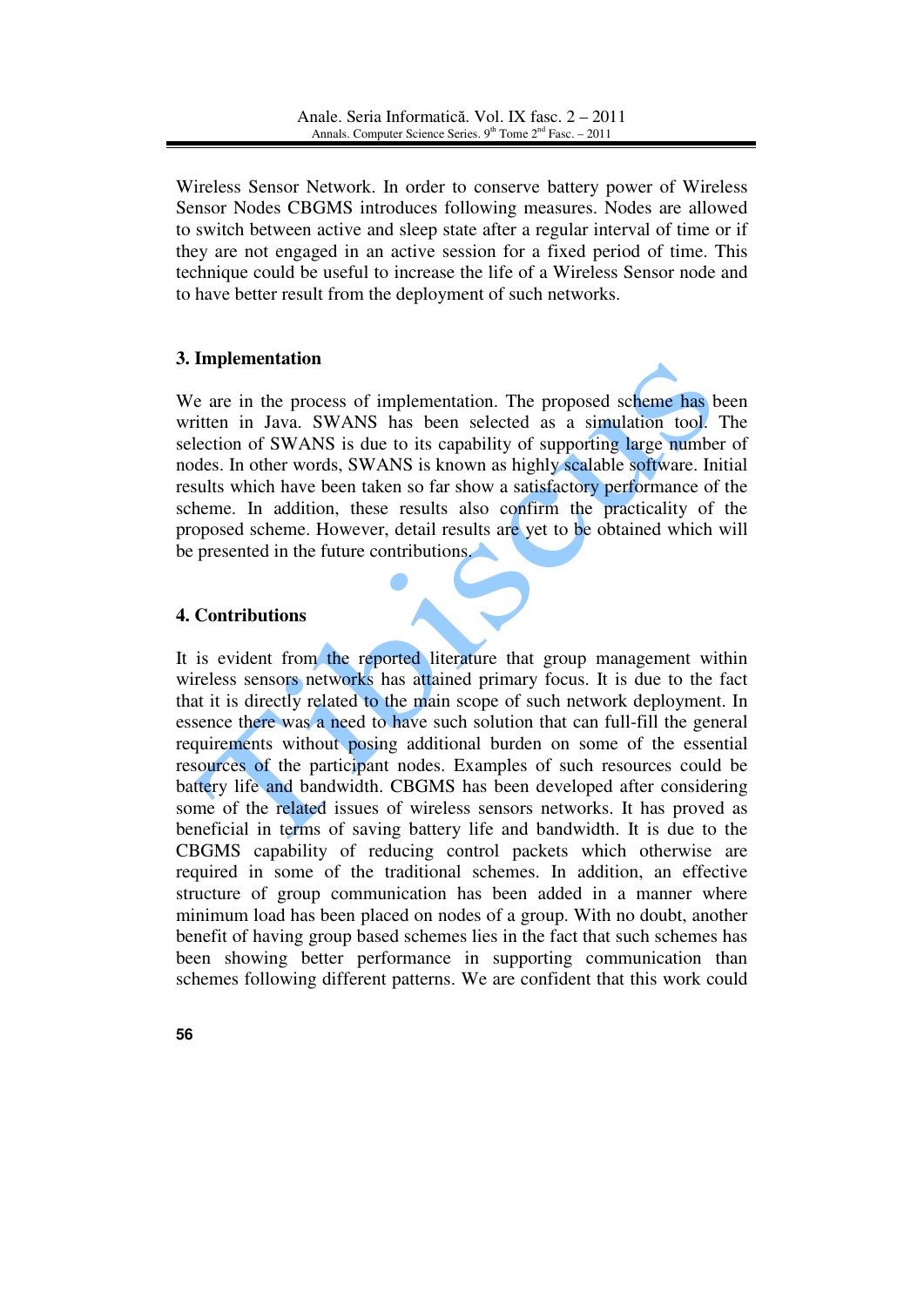Wireless Sensor Network. In order to conserve battery power of Wireless Sensor Nodes CBGMS introduces following measures. Nodes are allowed to switch between active and sleep state after a regular interval of time or if they are not engaged in an active session for a fixed period of time. This technique could be useful to increase the life of a Wireless Sensor node and to have better result from the deployment of such networks.

# **3. Implementation**

We are in the process of implementation. The proposed scheme has been written in Java. SWANS has been selected as a simulation tool. The selection of SWANS is due to its capability of supporting large number of nodes. In other words, SWANS is known as highly scalable software. Initial results which have been taken so far show a satisfactory performance of the scheme. In addition, these results also confirm the practicality of the proposed scheme. However, detail results are yet to be obtained which will be presented in the future contributions.

# **4. Contributions**

It is evident from the reported literature that group management within wireless sensors networks has attained primary focus. It is due to the fact that it is directly related to the main scope of such network deployment. In essence there was a need to have such solution that can full-fill the general requirements without posing additional burden on some of the essential resources of the participant nodes. Examples of such resources could be battery life and bandwidth. CBGMS has been developed after considering some of the related issues of wireless sensors networks. It has proved as beneficial in terms of saving battery life and bandwidth. It is due to the CBGMS capability of reducing control packets which otherwise are required in some of the traditional schemes. In addition, an effective structure of group communication has been added in a manner where minimum load has been placed on nodes of a group. With no doubt, another benefit of having group based schemes lies in the fact that such schemes has been showing better performance in supporting communication than schemes following different patterns. We are confident that this work could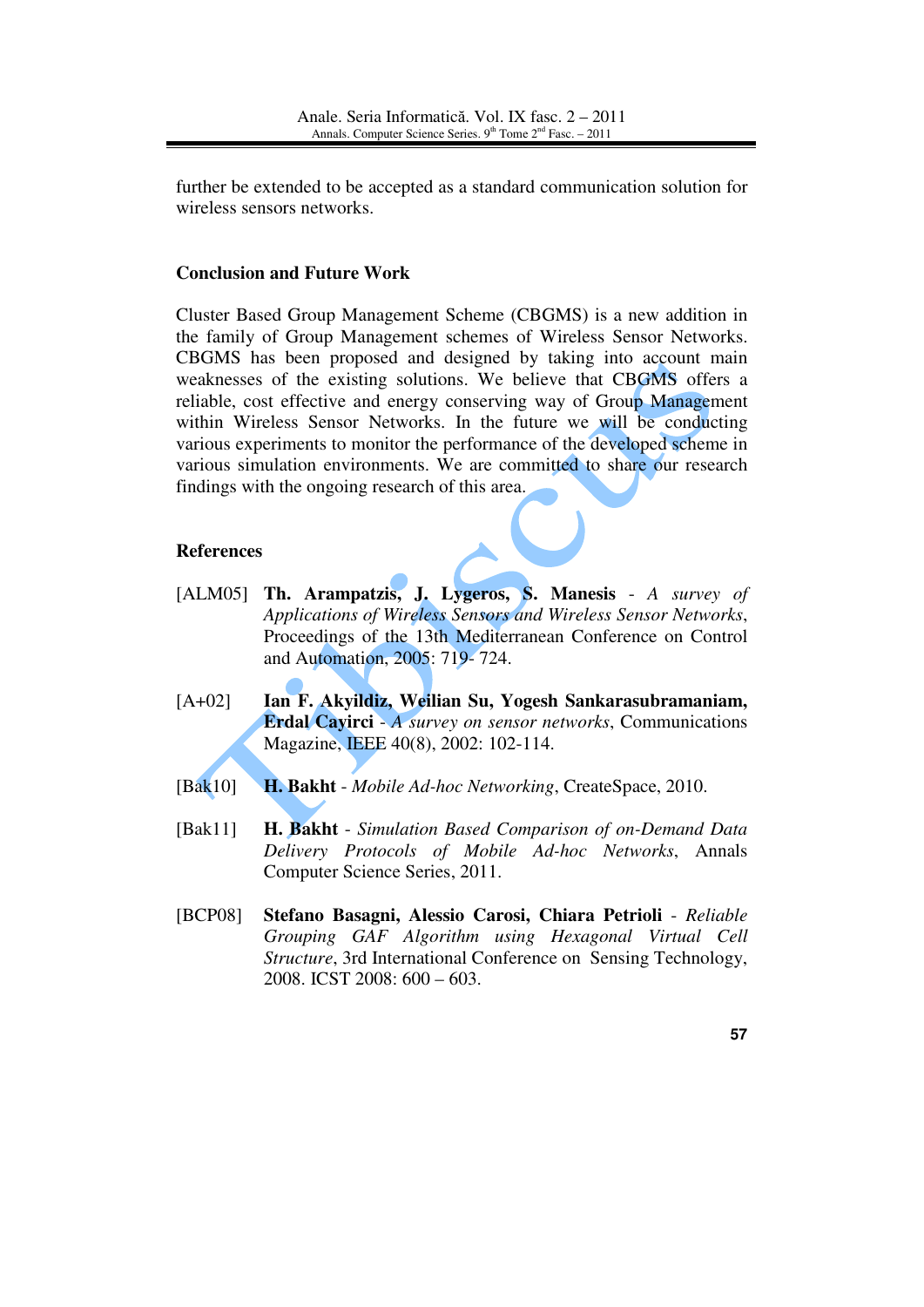further be extended to be accepted as a standard communication solution for wireless sensors networks.

### **Conclusion and Future Work**

Cluster Based Group Management Scheme (CBGMS) is a new addition in the family of Group Management schemes of Wireless Sensor Networks. CBGMS has been proposed and designed by taking into account main weaknesses of the existing solutions. We believe that CBGMS offers a reliable, cost effective and energy conserving way of Group Management within Wireless Sensor Networks. In the future we will be conducting various experiments to monitor the performance of the developed scheme in various simulation environments. We are committed to share our research findings with the ongoing research of this area.

### **References**

- [ALM05] **Th. Arampatzis, J. Lygeros, S. Manesis** *A survey of Applications of Wireless Sensors and Wireless Sensor Networks*, Proceedings of the 13th Mediterranean Conference on Control and Automation, 2005: 719- 724.
- [A+02] **Ian F. Akyildiz, Weilian Su, Yogesh Sankarasubramaniam, Erdal Cayirci** - *A survey on sensor networks*, Communications Magazine, IEEE 40(8), 2002: 102-114.
- [Bak10] **H. Bakht** *Mobile Ad-hoc Networking*, CreateSpace, 2010.
- [Bak11] **H. Bakht** *Simulation Based Comparison of on-Demand Data Delivery Protocols of Mobile Ad-hoc Networks*, Annals Computer Science Series, 2011.
- [BCP08] **Stefano Basagni, Alessio Carosi, Chiara Petrioli** *Reliable Grouping GAF Algorithm using Hexagonal Virtual Cell Structure*, 3rd International Conference on Sensing Technology, 2008. ICST 2008: 600 – 603.